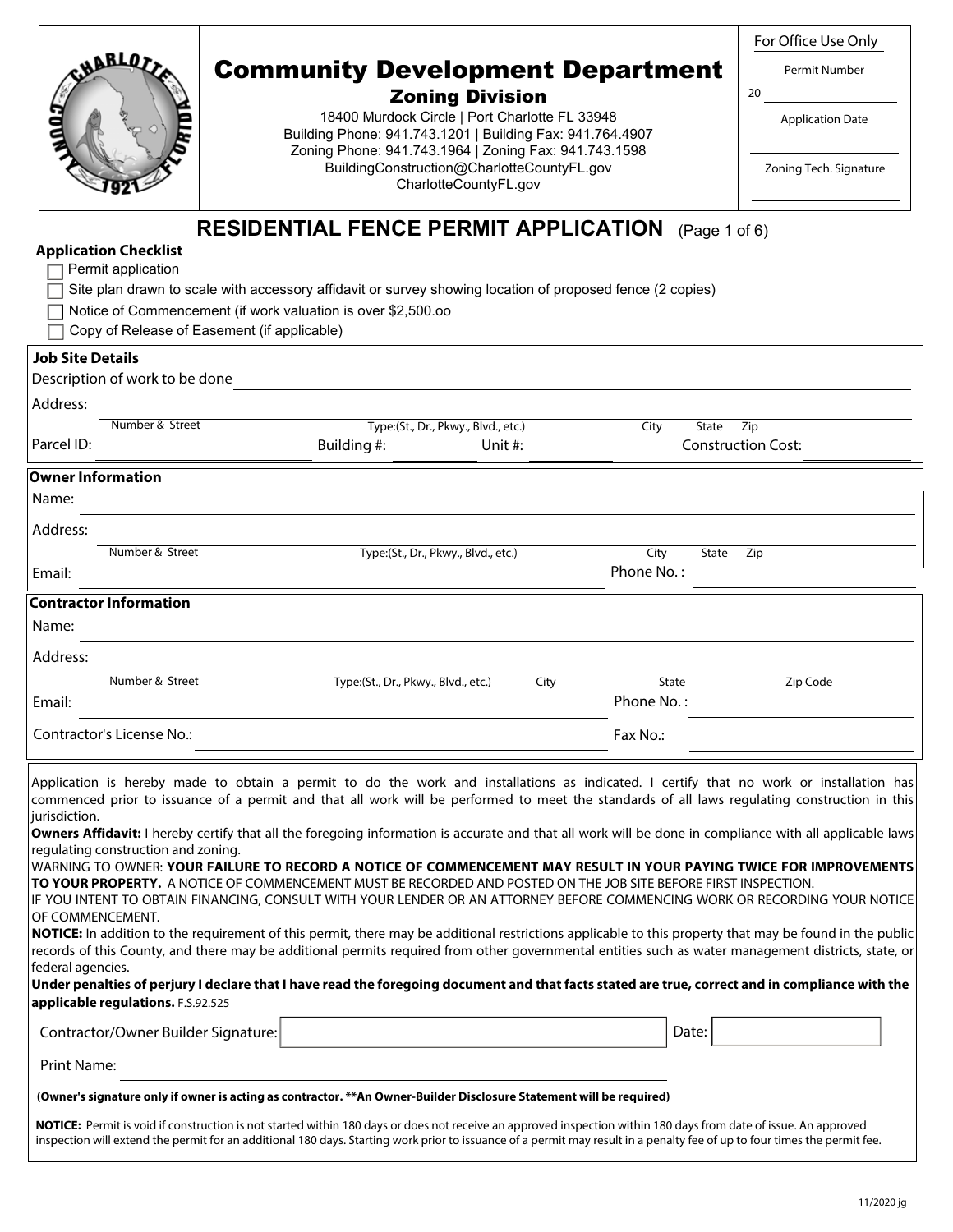| <b>ABLOTT</b><br>ة<br>مما<br>UW. |  |
|----------------------------------|--|
|                                  |  |

#### Zoning Division

18400 Murdock Circle | Port Charlotte FL 33948 Building Phone: 941.743.1201 | Building Fax: 941.764.4907 Zoning Phone: 941.743.1964 | Zoning Fax: 941.743.1598 BuildingConstruction@CharlotteCountyFL.gov CharlotteCountyFL.gov

For Office Use Only

Permit Number

20

Application Date

Zoning Tech. Signature

### **RESIDENTIAL FENCE PERMIT APPLICATION** (Page 1 of 6)

| <b>Application Checklist</b> |  |
|------------------------------|--|
|------------------------------|--|

|  | $\Box$ Permit application                                    |  |  |  |
|--|--------------------------------------------------------------|--|--|--|
|  | $\Box$ Other also character to construct the construction of |  |  |  |

 $\,$  Site plan drawn to scale with accessory affidavit or survey showing location of proposed fence (2 copies)

Copy of Release of Easement (if applicable)

#### **Job Site Details**

|            | Description of work to be done |                                     |                                     |               |                           |  |  |  |  |  |
|------------|--------------------------------|-------------------------------------|-------------------------------------|---------------|---------------------------|--|--|--|--|--|
| Address:   |                                |                                     |                                     |               |                           |  |  |  |  |  |
|            | Number & Street                |                                     | Type:(St., Dr., Pkwy., Blvd., etc.) | City<br>State | Zip                       |  |  |  |  |  |
| Parcel ID: |                                | Building #:                         | Unit $#$ :                          |               | <b>Construction Cost:</b> |  |  |  |  |  |
|            | <b>Owner Information</b>       |                                     |                                     |               |                           |  |  |  |  |  |
| Name:      |                                |                                     |                                     |               |                           |  |  |  |  |  |
| Address:   |                                |                                     |                                     |               |                           |  |  |  |  |  |
|            | Number & Street                |                                     | Type:(St., Dr., Pkwy., Blvd., etc.) | City<br>State | Zip                       |  |  |  |  |  |
| Email:     |                                |                                     |                                     | Phone No.:    |                           |  |  |  |  |  |
|            | <b>Contractor Information</b>  |                                     |                                     |               |                           |  |  |  |  |  |
| Name:      |                                |                                     |                                     |               |                           |  |  |  |  |  |
| Address:   |                                |                                     |                                     |               |                           |  |  |  |  |  |
|            | Number & Street                | Type:(St., Dr., Pkwy., Blvd., etc.) | City                                | State         | Zip Code                  |  |  |  |  |  |
| Email:     |                                |                                     |                                     | Phone No.:    |                           |  |  |  |  |  |
|            | Contractor's License No.:      |                                     |                                     | Fax No.:      |                           |  |  |  |  |  |

Application is hereby made to obtain a permit to do the work and installations as indicated. I certify that no work or installation has commenced prior to issuance of a permit and that all work will be performed to meet the standards of all laws regulating construction in this jurisdiction.

**Owners Affidavit:** I hereby certify that all the foregoing information is accurate and that all work will be done in compliance with all applicable laws regulating construction and zoning.

WARNING TO OWNER: **YOUR FAILURE TO RECORD A NOTICE OF COMMENCEMENT MAY RESULT IN YOUR PAYING TWICE FOR IMPROVEMENTS TO YOUR PROPERTY.** A NOTICE OF COMMENCEMENT MUST BE RECORDED AND POSTED ON THE JOB SITE BEFORE FIRST INSPECTION.

IF YOU INTENT TO OBTAIN FINANCING, CONSULT WITH YOUR LENDER OR AN ATTORNEY BEFORE COMMENCING WORK OR RECORDING YOUR NOTICE OF COMMENCEMENT.

**NOTICE:** In addition to the requirement of this permit, there may be additional restrictions applicable to this property that may be found in the public records of this County, and there may be additional permits required from other governmental entities such as water management districts, state, or federal agencies.

**Under penalties of perjury I declare that I have read the foregoing document and that facts stated are true, correct and in compliance with the applicable regulations.** F.S.92.525

| Contractor/Owner Builder Signature:                                                                                 |                                                                                                                                                                                                                                    | Date: |  |  |  |  |  |  |  |
|---------------------------------------------------------------------------------------------------------------------|------------------------------------------------------------------------------------------------------------------------------------------------------------------------------------------------------------------------------------|-------|--|--|--|--|--|--|--|
| Print Name:                                                                                                         |                                                                                                                                                                                                                                    |       |  |  |  |  |  |  |  |
| (Owner's signature only if owner is acting as contractor. **An Owner-Builder Disclosure Statement will be required) |                                                                                                                                                                                                                                    |       |  |  |  |  |  |  |  |
|                                                                                                                     | <b>NATICE:</b> Branch transferred to a consequent to the transferred of the consequence of the control three of the control of the second consequent of the consequent of the consequent of the second of the second of the second |       |  |  |  |  |  |  |  |

**NOTICE:** Permit is void if construction is not started within 180 days or does not receive an approved inspection within 180 days from date of issue. An approved inspection will extend the permit for an additional 180 days. Starting work prior to issuance of a permit may result in a penalty fee of up to four times the permit fee.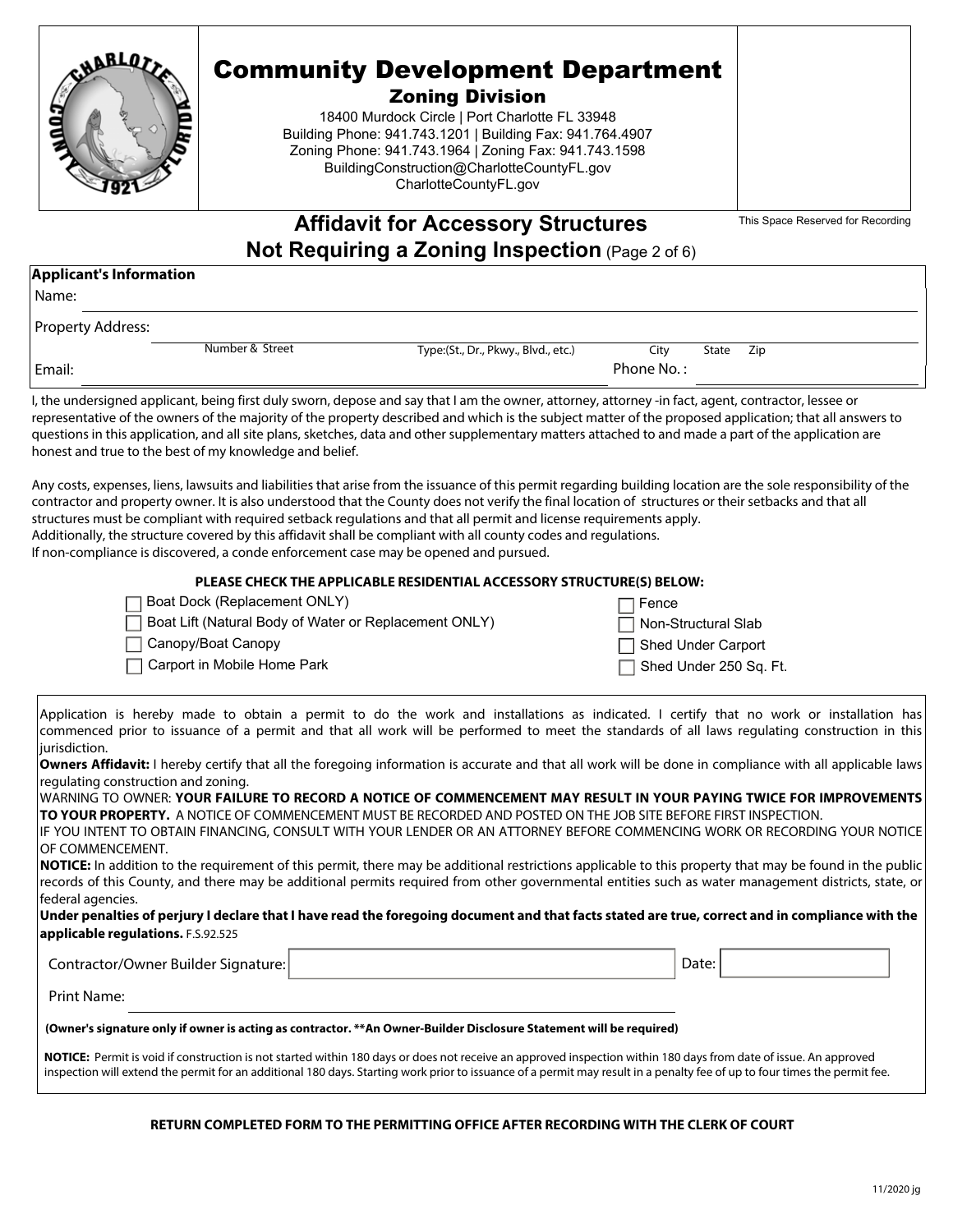

#### Zoning Division

18400 Murdock Circle | Port Charlotte FL 33948 Building Phone: 941.743.1201 | Building Fax: 941.764.4907 Zoning Phone: 941.743.1964 | Zoning Fax: 941.743.1598 BuildingConstruction@CharlotteCountyFL.gov CharlotteCountyFL.gov

This Space Reserved for Recording

### **Affidavit for Accessory Structures Not Requiring a Zoning Inspection** (Page 2 of 6)

#### **Applicant's Information**

| . .<br>٠<br>× |
|---------------|
|               |

| Property Address: |                 |                                     |            |       |     |
|-------------------|-----------------|-------------------------------------|------------|-------|-----|
|                   | Number & Street | Type:(St., Dr., Pkwy., Blvd., etc.) | Citv       | State | Zip |
| Email:            |                 |                                     | Phone No.: |       |     |

I, the undersigned applicant, being first duly sworn, depose and say that I am the owner, attorney, attorney -in fact, agent, contractor, lessee or representative of the owners of the majority of the property described and which is the subject matter of the proposed application; that all answers to questions in this application, and all site plans, sketches, data and other supplementary matters attached to and made a part of the application are honest and true to the best of my knowledge and belief.

Any costs, expenses, liens, lawsuits and liabilities that arise from the issuance of this permit regarding building location are the sole responsibility of the contractor and property owner. It is also understood that the County does not verify the final location of structures or their setbacks and that all structures must be compliant with required setback regulations and that all permit and license requirements apply. Additionally, the structure covered by this affidavit shall be compliant with all county codes and regulations. If non-compliance is discovered, a conde enforcement case may be opened and pursued.

#### **PLEASE CHECK THE APPLICABLE RESIDENTIAL ACCESSORY STRUCTURE(S) BELOW:**

| □ Boat Dock (Replacement ONLY)                          | $\Box$ Fence               |
|---------------------------------------------------------|----------------------------|
| □ Boat Lift (Natural Body of Water or Replacement ONLY) | $\Box$ Non-Structural Slab |
| □ Canopy/Boat Canopy                                    | □ Shed Under Carport       |
| $\Box$ Carport in Mobile Home Park                      | Shed Under 250 Sq. Ft.     |
|                                                         |                            |

Application is hereby made to obtain a permit to do the work and installations as indicated. I certify that no work or installation has commenced prior to issuance of a permit and that all work will be performed to meet the standards of all laws regulating construction in this iurisdiction.

**Owners Affidavit:** I hereby certify that all the foregoing information is accurate and that all work will be done in compliance with all applicable laws regulating construction and zoning.

WARNING TO OWNER: **YOUR FAILURE TO RECORD A NOTICE OF COMMENCEMENT MAY RESULT IN YOUR PAYING TWICE FOR IMPROVEMENTS TO YOUR PROPERTY.** A NOTICE OF COMMENCEMENT MUST BE RECORDED AND POSTED ON THE JOB SITE BEFORE FIRST INSPECTION. IF YOU INTENT TO OBTAIN FINANCING, CONSULT WITH YOUR LENDER OR AN ATTORNEY BEFORE COMMENCING WORK OR RECORDING YOUR NOTICE OF COMMENCEMENT.

**NOTICE:** In addition to the requirement of this permit, there may be additional restrictions applicable to this property that may be found in the public records of this County, and there may be additional permits required from other governmental entities such as water management districts, state, or federal agencies.

**Under penalties of perjury I declare that I have read the foregoing document and that facts stated are true, correct and in compliance with the applicable regulations.** F.S.92.525

| Contractor/Owner Builder Signature: | Date: |  |
|-------------------------------------|-------|--|

Print Name:

#### **(Owner's signature only if owner is acting as contractor. \*\*An Owner-Builder Disclosure Statement will be required)**

**NOTICE:** Permit is void if construction is not started within 180 days or does not receive an approved inspection within 180 days from date of issue. An approved inspection will extend the permit for an additional 180 days. Starting work prior to issuance of a permit may result in a penalty fee of up to four times the permit fee.

#### **RETURN COMPLETED FORM TO THE PERMITTING OFFICE AFTER RECORDING WITH THE CLERK OF COURT**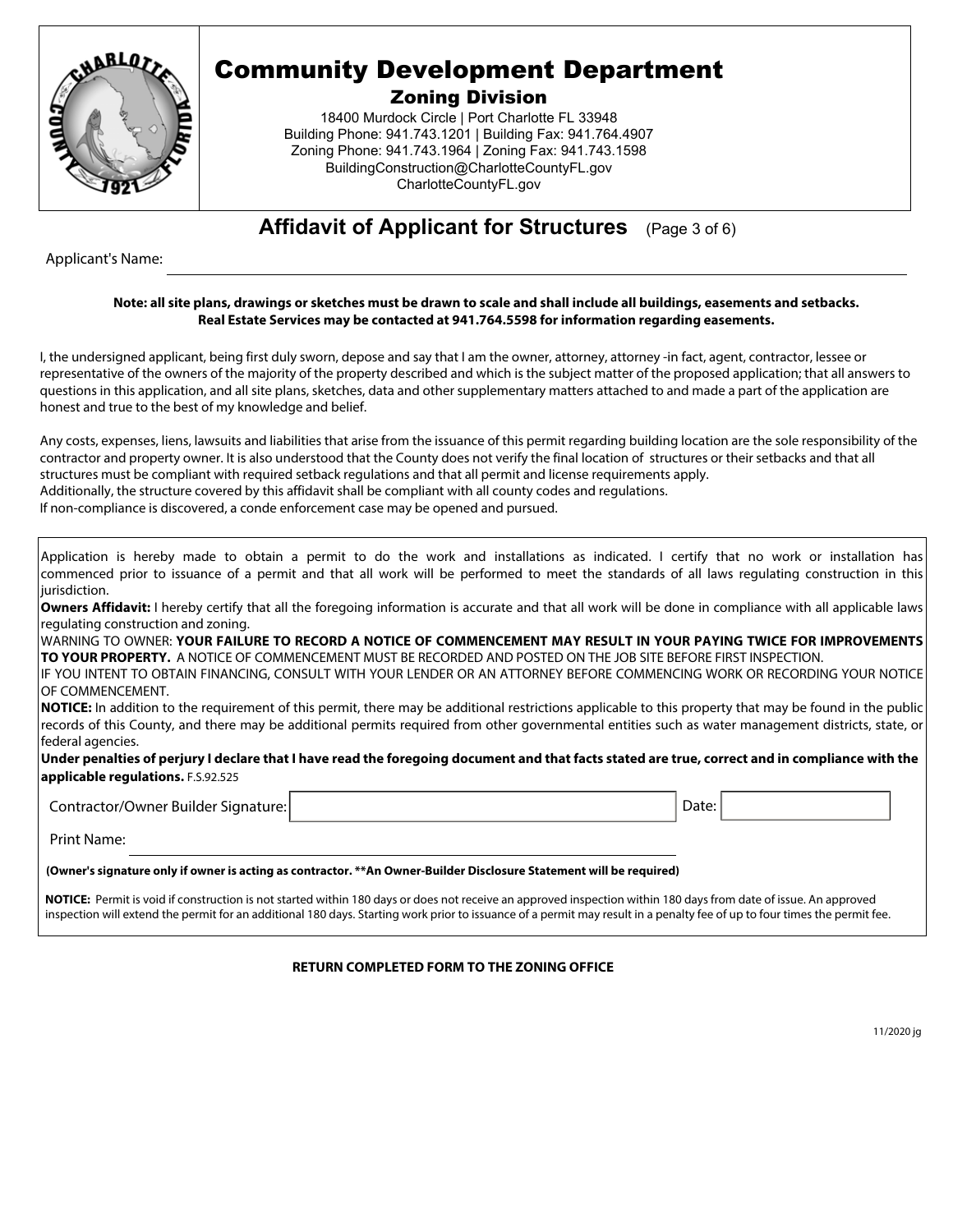

Zoning Division

18400 Murdock Circle | Port Charlotte FL 33948 Building Phone: 941.743.1201 | Building Fax: 941.764.4907 Zoning Phone: 941.743.1964 | Zoning Fax: 941.743.1598 BuildingConstruction@CharlotteCountyFL.gov CharlotteCountyFL.gov

**Affidavit of Applicant for Structures** (Page 3 of 6)

Applicant's Name:

#### **Note: all site plans, drawings or sketches must be drawn to scale and shall include all buildings, easements and setbacks. Real Estate Services may be contacted at 941.764.5598 for information regarding easements.**

I, the undersigned applicant, being first duly sworn, depose and say that I am the owner, attorney, attorney -in fact, agent, contractor, lessee or representative of the owners of the majority of the property described and which is the subject matter of the proposed application; that all answers to questions in this application, and all site plans, sketches, data and other supplementary matters attached to and made a part of the application are honest and true to the best of my knowledge and belief.

Any costs, expenses, liens, lawsuits and liabilities that arise from the issuance of this permit regarding building location are the sole responsibility of the contractor and property owner. It is also understood that the County does not verify the final location of structures or their setbacks and that all structures must be compliant with required setback regulations and that all permit and license requirements apply. Additionally, the structure covered by this affidavit shall be compliant with all county codes and regulations.

If non-compliance is discovered, a conde enforcement case may be opened and pursued.

| Application is hereby made to obtain a permit to do the work and installations as indicated. I certify that no work or installation has                        |
|----------------------------------------------------------------------------------------------------------------------------------------------------------------|
| commenced prior to issuance of a permit and that all work will be performed to meet the standards of all laws regulating construction in this                  |
| jurisdiction.                                                                                                                                                  |
| <b>Owners Affidavit:</b> I hereby certify that all the foregoing information is accurate and that all work will be done in compliance with all applicable laws |
| regulating construction and zoning.                                                                                                                            |
| WARNING TO OWNER: YOUR FAILURE TO RECORD A NOTICE OF COMMENCEMENT MAY RESULT IN YOUR PAYING TWICE FOR IMPROVEMENTS                                             |
| TO YOUR PROPERTY. A NOTICE OF COMMENCEMENT MUST BE RECORDED AND POSTED ON THE JOB SITE BEFORE FIRST INSPECTION.                                                |
| if you intent to obtain financing, consult with your lender or an attorney before commencing work or recording your notice.                                    |
| <b>OF COMMENCEMENT.</b>                                                                                                                                        |
| <b>NOTICE:</b> In addition to the requirement of this permit, there may be additional restrictions applicable to this property that may be found in the public |
| records of this County, and there may be additional permits required from other governmental entities such as water management districts, state, or            |
|                                                                                                                                                                |
| federal agencies.                                                                                                                                              |
| Under penalties of perjury I declare that I have read the foregoing document and that facts stated are true, correct and in compliance with the                |
| applicable regulations. F.S.92.525                                                                                                                             |
|                                                                                                                                                                |
| Contractor/Owner Builder Signature:<br>Date:                                                                                                                   |
|                                                                                                                                                                |
| Print Name:                                                                                                                                                    |
| (Owner's signature only if owner is acting as contractor. **An Owner-Builder Disclosure Statement will be required)                                            |
|                                                                                                                                                                |

**NOTICE:** Permit is void if construction is not started within 180 days or does not receive an approved inspection within 180 days from date of issue. An approved inspection will extend the permit for an additional 180 days. Starting work prior to issuance of a permit may result in a penalty fee of up to four times the permit fee.

**RETURN COMPLETED FORM TO THE ZONING OFFICE**

11/2020 jg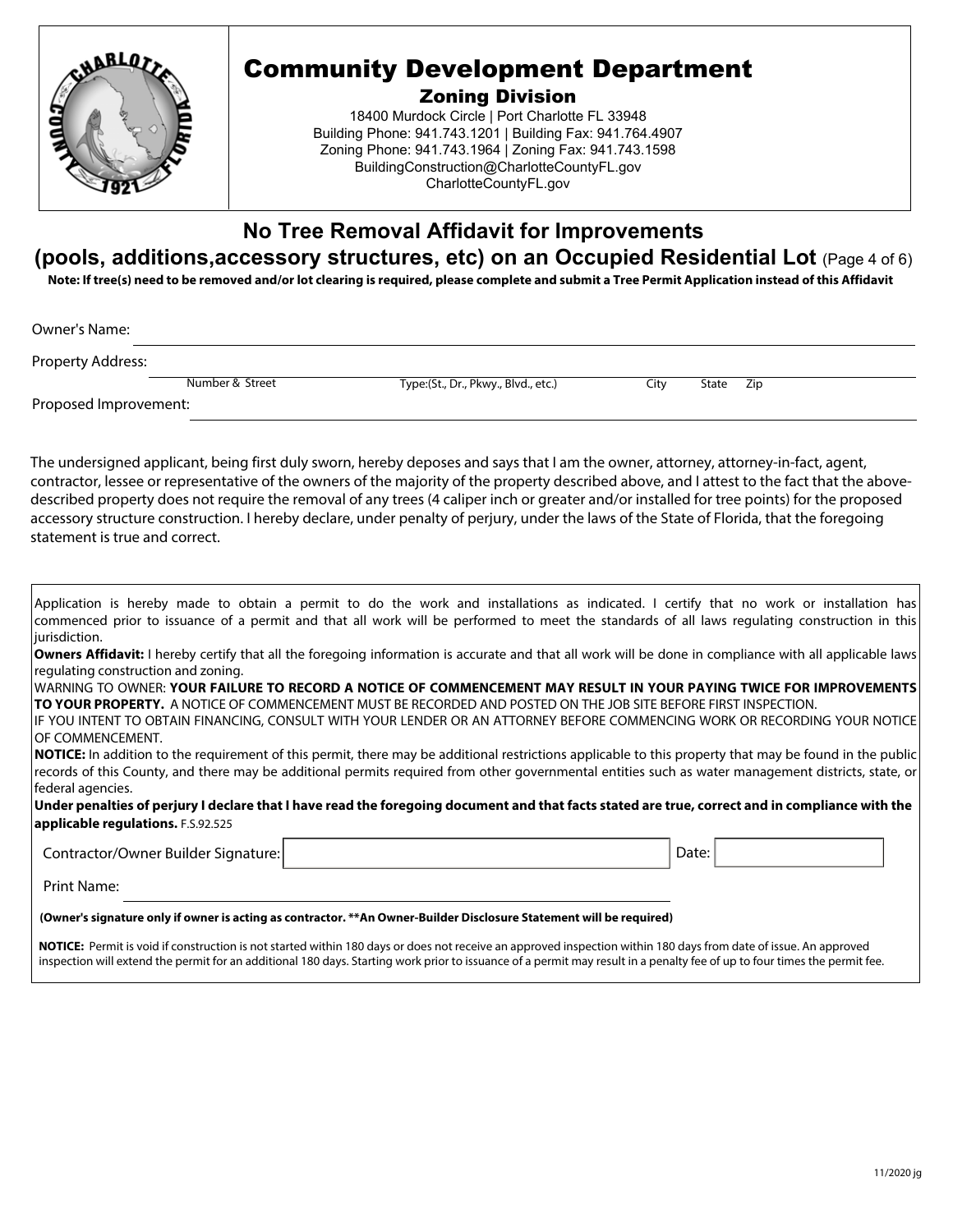

Zoning Division

18400 Murdock Circle | Port Charlotte FL 33948 Building Phone: 941.743.1201 | Building Fax: 941.764.4907 Zoning Phone: 941.743.1964 | Zoning Fax: 941.743.1598 BuildingConstruction@CharlotteCountyFL.gov CharlotteCountyFL.gov

### **No Tree Removal Affidavit for Improvements**

### **(pools, additions,accessory structures, etc) on an Occupied Residential Lot** (Page 4 of 6)

**Note: If tree(s) need to be removed and/or lot clearing is required, please complete and submit a Tree Permit Application instead of this Affidavit**

Owner's Name:

Property Address:

Number & Street Type:(St., Dr., Pkwy., Blvd., etc.) City State Zip

Proposed Improvement:

The undersigned applicant, being first duly sworn, hereby deposes and says that I am the owner, attorney, attorney-in-fact, agent, contractor, lessee or representative of the owners of the majority of the property described above, and I attest to the fact that the abovedescribed property does not require the removal of any trees (4 caliper inch or greater and/or installed for tree points) for the proposed accessory structure construction. I hereby declare, under penalty of perjury, under the laws of the State of Florida, that the foregoing statement is true and correct.

|               |  |  |  |  |  |  |  | Application is hereby made to obtain a permit to do the work and installations as indicated. I certify that no work or installation has                 |  |  |  |  |
|---------------|--|--|--|--|--|--|--|---------------------------------------------------------------------------------------------------------------------------------------------------------|--|--|--|--|
|               |  |  |  |  |  |  |  | commenced prior to issuance of a permit and that all work will be performed to meet the standards of all laws regulating construction in this           |  |  |  |  |
| jurisdiction. |  |  |  |  |  |  |  |                                                                                                                                                         |  |  |  |  |
|               |  |  |  |  |  |  |  | Owners Affidavit: I hereby certify that all the foregoing information is accurate and that all work will be done in compliance with all applicable laws |  |  |  |  |

regulating construction and zoning. WARNING TO OWNER: **YOUR FAILURE TO RECORD A NOTICE OF COMMENCEMENT MAY RESULT IN YOUR PAYING TWICE FOR IMPROVEMENTS**

**TO YOUR PROPERTY.** A NOTICE OF COMMENCEMENT MUST BE RECORDED AND POSTED ON THE JOB SITE BEFORE FIRST INSPECTION. IF YOU INTENT TO OBTAIN FINANCING, CONSULT WITH YOUR LENDER OR AN ATTORNEY BEFORE COMMENCING WORK OR RECORDING YOUR NOTICE

OF COMMENCEMENT. **NOTICE:** In addition to the requirement of this permit, there may be additional restrictions applicable to this property that may be found in the public records of this County, and there may be additional permits required from other governmental entities such as water management districts, state, or federal agencies.

**Under penalties of perjury I declare that I have read the foregoing document and that facts stated are true, correct and in compliance with the applicable regulations.** F.S.92.525

Contractor/Owner Builder Signature: Date: Date: Date: Date: Date: Date: Date: Date: Date: Date: Date: Date: Date: Date: Date: Date: Date: Date: Date: Date: Date: Date: Date: Date: Date: Date: Date: Date: Date: Date: Date: **(Owner's signature only if owner is acting as contractor. \*\*An Owner-Builder Disclosure Statement will be required)**  Print Name:

**NOTICE:** Permit is void if construction is not started within 180 days or does not receive an approved inspection within 180 days from date of issue. An approved inspection will extend the permit for an additional 180 days. Starting work prior to issuance of a permit may result in a penalty fee of up to four times the permit fee.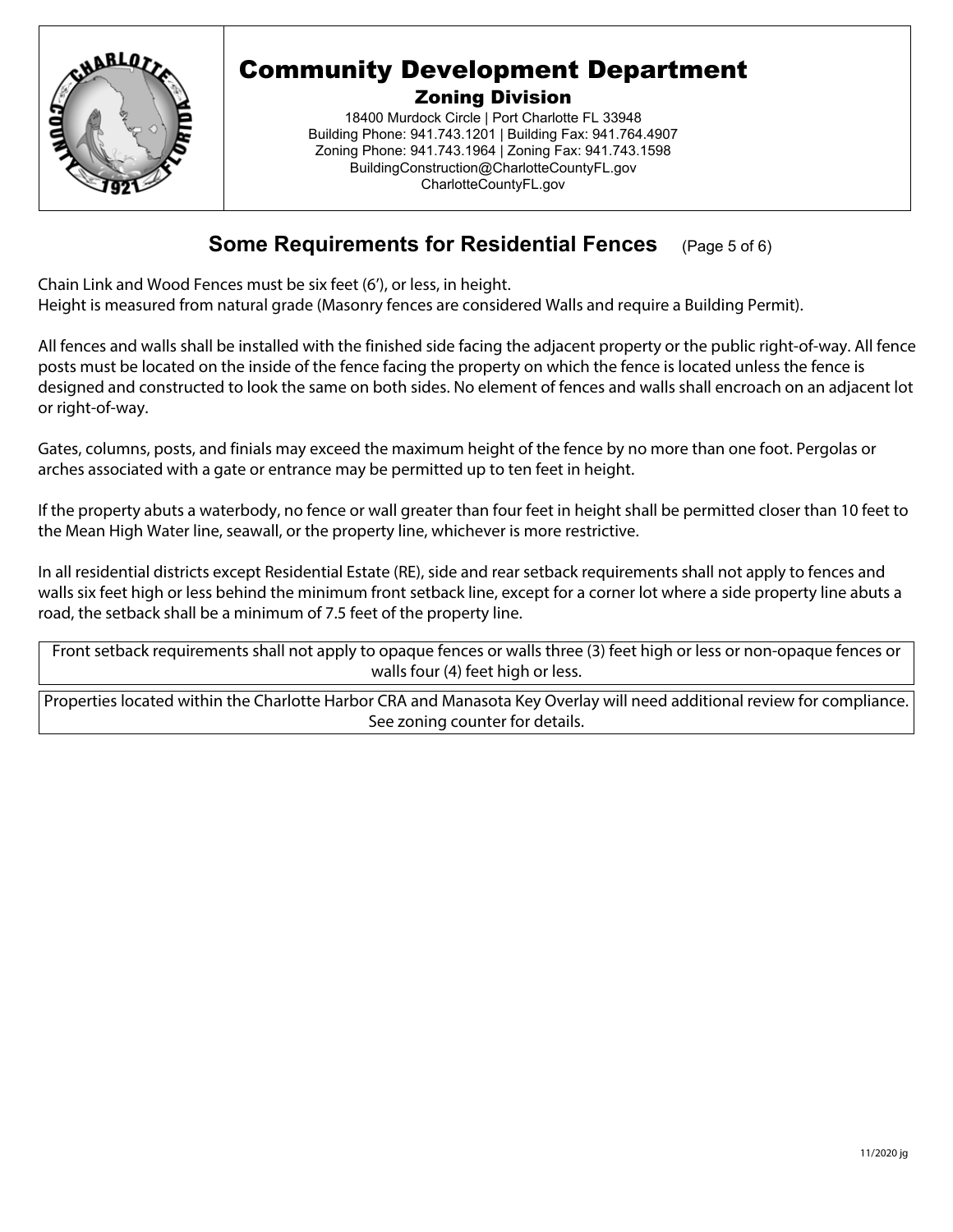

Zoning Division

18400 Murdock Circle | Port Charlotte FL 33948 Building Phone: 941.743.1201 | Building Fax: 941.764.4907 Zoning Phone: 941.743.1964 | Zoning Fax: 941.743.1598 BuildingConstruction@CharlotteCountyFL.gov CharlotteCountyFL.gov

### **Some Requirements for Residential Fences** (Page 5 of 6)

Chain Link and Wood Fences must be six feet (6'), or less, in height. Height is measured from natural grade (Masonry fences are considered Walls and require a Building Permit).

All fences and walls shall be installed with the finished side facing the adjacent property or the public right-of-way. All fence posts must be located on the inside of the fence facing the property on which the fence is located unless the fence is designed and constructed to look the same on both sides. No element of fences and walls shall encroach on an adjacent lot or right-of-way.

Gates, columns, posts, and finials may exceed the maximum height of the fence by no more than one foot. Pergolas or arches associated with a gate or entrance may be permitted up to ten feet in height.

If the property abuts a waterbody, no fence or wall greater than four feet in height shall be permitted closer than 10 feet to the Mean High Water line, seawall, or the property line, whichever is more restrictive.

In all residential districts except Residential Estate (RE), side and rear setback requirements shall not apply to fences and walls six feet high or less behind the minimum front setback line, except for a corner lot where a side property line abuts a road, the setback shall be a minimum of 7.5 feet of the property line.

Front setback requirements shall not apply to opaque fences or walls three (3) feet high or less or non-opaque fences or walls four (4) feet high or less.

Properties located within the Charlotte Harbor CRA and Manasota Key Overlay will need additional review for compliance. See zoning counter for details.